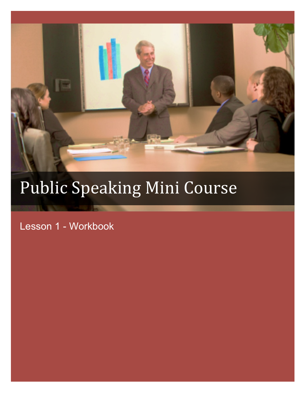

# Public Speaking Mini Course

Lesson 1 - Workbook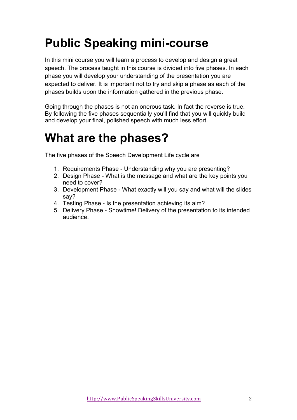# **Public Speaking mini-course**

In this mini course you will learn a process to develop and design a great speech. The process taught in this course is divided into five phases. In each phase you will develop your understanding of the presentation you are expected to deliver. It is important not to try and skip a phase as each of the phases builds upon the information gathered in the previous phase.

Going through the phases is not an onerous task. In fact the reverse is true. By following the five phases sequentially you'll find that you will quickly build and develop your final, polished speech with much less effort.

#### **What are the phases?**

The five phases of the Speech Development Life cycle are

- 1. Requirements Phase Understanding why you are presenting?
- 2. Design Phase What is the message and what are the key points you need to cover?
- 3. Development Phase What exactly will you say and what will the slides say?
- 4. Testing Phase Is the presentation achieving its aim?
- 5. Delivery Phase Showtime! Delivery of the presentation to its intended audience.